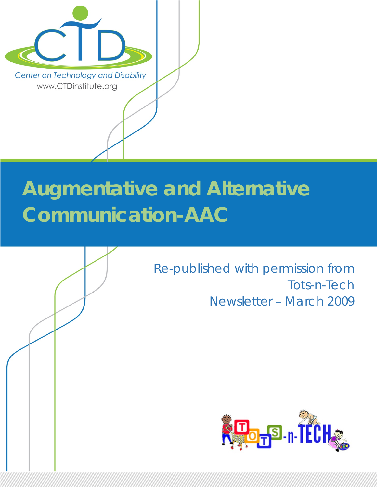

# **Augmentative and Alternative Communication-AAC**



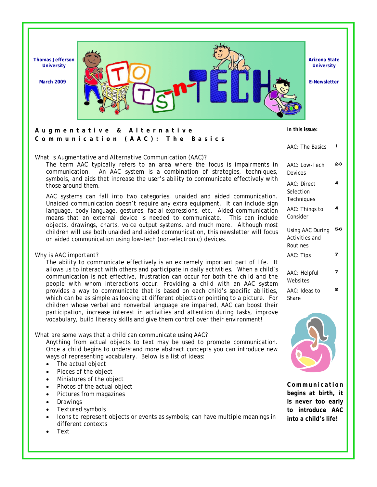

### **Augmentative & Alternative Communication (AAC): The Basics**

### *What is Augmentative and Alternative Communication (AAC)?*

The term AAC typically refers to an area where the focus is impairments in communication. An AAC system is a combination of strategies, techniques, symbols, and aids that increase the user's ability to communicate effectively with those around them.

AAC systems can fall into two categories, unaided and aided communication. Unaided communication doesn't require any extra equipment. It can include sign language, body language, gestures, facial expressions, etc. Aided communication means that an external device is needed to communicate. This can include objects, drawings, charts, voice output systems, and much more. Although most children will use both unaided and aided communication, this newsletter will focus on aided communication using low-tech (non-electronic) devices.

### *Why is AAC important?*

The ability to communicate effectively is an extremely important part of life. It allows us to interact with others and participate in daily activities. When a child's communication is not effective, frustration can occur for both the child and the people with whom interactions occur. Providing a child with an AAC system provides a way to communicate that is based on each child's specific abilities, which can be as simple as looking at different objects or pointing to a picture. For children whose verbal and nonverbal language are impaired, AAC can boost their participation, increase interest in activities and attention during tasks, improve vocabulary, build literacy skills and give them control over their environment!

### *What are some ways that a child can communicate using AAC?*

Anything from actual objects to text may be used to promote communication. Once a child begins to understand more abstract concepts you can introduce new ways of representing vocabulary. Below is a list of ideas:

- The actual object
- Pieces of the object
- Miniatures of the object
- Photos of the actual object
- Pictures from magazines
- **Drawings**
- Textured symbols
- Icons to represent objects or events as symbols; can have multiple meanings in different contexts
- Text

| <b>AAC: The Basics</b>                         | 1  |
|------------------------------------------------|----|
| AAC: Low-Tech<br>Devices                       | 23 |
| AAC: Direct<br>Selection<br>Techniques         | 4  |
| AAC: Things to<br>Consider                     | 4  |
| Using AAC During<br>Activities and<br>Routines | 56 |
| AAC: Tips                                      | 7  |
| AAC: Helpful<br>Websites                       | 7  |
| AAC: Ideas to<br>Share                         | 8  |

**In this issue:** 



**C o m m u n i ca t i o n begins at birth, it is never too early to introduce AAC into a child's life!**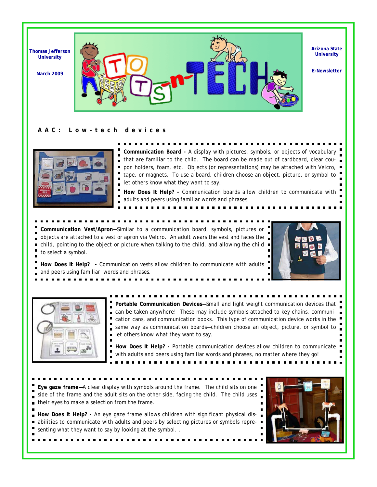

#### **AAC: Low-tech devices**



**Communication Board -** A display with pictures, symbols, or objects of vocabulary that are familiar to the child. The board can be made out of cardboard, clear coupon holders, foam, etc. Objects (or representations) may be attached with Velcro, tape, or magnets. To use a board, children choose an object, picture, or symbol to let others know what they want to say.

**How Does It Help? -** Communication boards allow children to communicate with adults and peers using familiar words and phrases.

**Communication Vest/Apron—**Similar to a communication board, symbols, pictures or objects are attached to a vest or apron via Velcro. An adult wears the vest and faces the child, pointing to the object or picture when talking to the child, and allowing the child  $\blacksquare$  $\blacksquare$ to select a symbol.



**How Does It Help? -** Communication vests allow children to communicate with adults and peers using familiar words and phrases.



**Portable Communication Devices—**Small and light weight communication devices that ■ can be taken anywhere! These may include symbols attached to key chains, communication cans, and communication books. This type of communication device works in the same way as communication boards—children choose an object, picture, or symbol to let others know what they want to say.  $\blacksquare$ 

How Does It Help? - Portable communication devices allow children to communicate ' with adults and peers using familiar words and phrases, no matter where they go!

**Eye gaze frame—**A clear display with symbols around the frame. The child sits on one side of the frame and the adult sits on the other side, facing the child. The child uses their eyes to make a selection from the frame.

■ How Does It Help? - An eye gaze frame allows children with significant physical disabilities to communicate with adults and peers by selecting pictures or symbols representing what they want to say by looking at the symbol. .

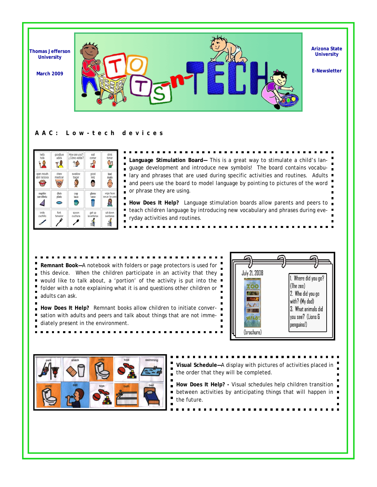

### **AAC: Low-tech devices**

| hello<br>hola               | goodbye<br>adiós | How are you?<br>¿Cómo estás? | eat<br>comer       | drink<br>tomar<br>35 |
|-----------------------------|------------------|------------------------------|--------------------|----------------------|
| open mouth<br>abrir la boca | chew<br>masticar | swallow<br>tragar            | boog<br>feliz<br>G | bad<br>malo          |
| napkin                      | dish             | cup                          | glass              | wipe face            |
| servilleta                  | plato            | taza                         | vaso               | secar la cara        |
| knife                       | fork             | spoon                        | get up             | sit down             |
| cuchillo                    | tenedor          | cuchara                      | levantarse         | sentarse             |

**Language Stimulation Board—** This is a great way to stimulate a child's language development and introduce new symbols! The board contains vocabulary and phrases that are used during specific activities and routines. Adults  $\blacksquare$ and peers use the board to model language by pointing to pictures of the word or phrase they are using.

**How Does It Help?** Language stimulation boards allow parents and peers to teach children language by introducing new vocabulary and phrases during everyday activities and routines.

**Remnant Book—**A notebook with folders or page protectors is used for this device. When the children participate in an activity that they  $\blacksquare$ would like to talk about, a 'portion' of the activity is put into the folder with a note explaining what it is and questions other children or adults can ask.

**How Does It Help?** Remnant books allow children to initiate conver- $\blacksquare$  $\blacksquare$ sation with adults and peers and talk about things that are not immediately present in the environment.





- **Visual Schedule—**A display with pictures of activities placed in the order that they will be completed. **How Does It Help? -** Visual schedules help children transition  $\blacksquare$
- between activities by anticipating things that will happen in  $\blacksquare$  $\blacksquare$ the future.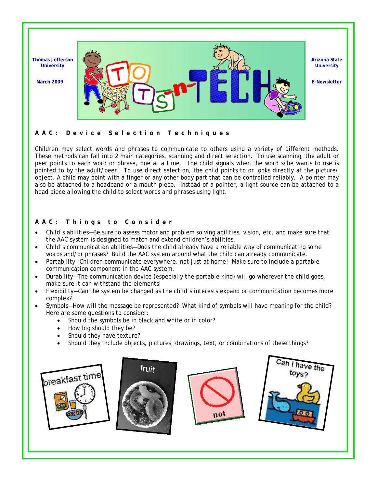

### **AAC: Device Selection Techniques**

Children may select words and phrases to communicate to others using a variety of different methods. These methods can fall into 2 main categories, *scanning* and *direct selection*. To use *scanning*, the adult or peer points to each word or phrase, one at a time. The child signals when the word s/he wants to use is pointed to by the adult/peer. To use *direct selection*, the child points to or looks directly at the picture/ object. A child may point with a finger or any other body part that can be controlled reliably. A pointer may also be attached to a headband or a mouth piece. Instead of a pointer, a light source can be attached to a head piece allowing the child to select words and phrases using light.

### **AAC: Things to Consider**

- Child's abilities—Be sure to assess motor and problem solving abilities, vision, etc. and make sure that the AAC system is designed to match and extend children's abilities.
- Child's communication abilities—Does the child already have a reliable way of communicating some words and/or phrases? Build the AAC system around what the child can already communicate.
- Portability—Children communicate everywhere, not just at home! Make sure to include a portable communication component in the AAC system.
- Durability—The communication device (especially the portable kind) will go wherever the child goes, make sure it can withstand the elements!
- Flexibility—Can the system be changed as the child's interests expand or communication becomes more complex?
- Symbols—How will the message be represented? What kind of symbols will have meaning for the child? Here are some questions to consider:
	- Should the symbols be in black and white or in color?
	- How big should they be?
	- Should they have texture?
	- Should they include objects, pictures, drawings, text, or combinations of these things?

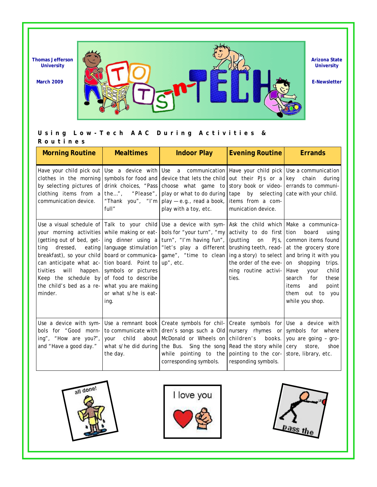

**Arizona State University** 

### **Using Low-Tech AAC During Activities &**

| Routines |  |  |  |  |
|----------|--|--|--|--|
|----------|--|--|--|--|

| <b>Morning Routine</b>                                                                                                                                                                     | <b>Mealtimes</b>                                                                                             | <b>Indoor Play</b>                                                                                                                                                                                                                                                                                                                                                                                    | <b>Evening Routine</b>                                                                                                                                                                                     | <b>Errands</b>                                                                                                                                                                                                                      |
|--------------------------------------------------------------------------------------------------------------------------------------------------------------------------------------------|--------------------------------------------------------------------------------------------------------------|-------------------------------------------------------------------------------------------------------------------------------------------------------------------------------------------------------------------------------------------------------------------------------------------------------------------------------------------------------------------------------------------------------|------------------------------------------------------------------------------------------------------------------------------------------------------------------------------------------------------------|-------------------------------------------------------------------------------------------------------------------------------------------------------------------------------------------------------------------------------------|
| communication device.                                                                                                                                                                      | full"                                                                                                        | Have your child pick out Use a device with Use a communication Have your child pick Use a communication<br>clothes in the morning symbols for food and device that lets the child<br>by selecting pictures of drink choices, "Pass choose what game to<br>clothing items from a the", "Please", play or what to do during<br>"Thank you", "I'm   play $-$ e.g., read a book,<br>play with a toy, etc. | out their PJs or a key chain<br>story book or video- errands to communi-<br>tape<br>items from a com-<br>munication device.                                                                                | during<br>by selecting cate with your child.                                                                                                                                                                                        |
| (getting out of bed, get-<br>dressed,<br>ting<br>can anticipate what ac-<br>will<br>happen.<br>tivities<br>Keep the schedule by<br>the child's bed as a re- what you are making<br>minder. | tion board. Point to up", etc.<br>symbols or pictures<br>of food to describe<br>or what s/he is eat-<br>ing. | Use a visual schedule of $\vert$ Talk to your child Use a device with sym-<br>your morning activities while making or eat- bols for "your turn", "my<br>ing dinner using a turn", "I'm having fun",<br>eating language stimulation   "let's play a different<br>breakfast), so your child board or communica- game", "time to clean                                                                   | Ask the child which Make a communica-<br>activity to do first tion<br>(putting)<br>PJs,<br>on<br>brushing teeth, read-<br>ing a story) to select<br>the order of the eve-<br>ning routine activi-<br>ties. | board<br>using<br>common items found<br>at the grocery store<br>and bring it with you<br>on shopping<br>trips.<br>child<br>Have<br>your<br>search<br>for<br>these<br>point<br>items<br>and<br>out to you<br>them<br>while you shop. |
| Use a device with sym-<br>bols for "Good morn-<br>ing", "How are you?",<br>and "Have a good day."                                                                                          | child<br>about<br>your<br>the day.                                                                           | Use a remnant book Create symbols for chil- Create symbols for Use a device with<br>to communicate with dren's songs such a Old nursery rhymes or symbols for where<br>McDonald or Wheels on<br>what s/he did during the Bus. Sing the song<br>while pointing to the<br>corresponding symbols.                                                                                                        | children's<br>books.<br>Read the story while cery<br>pointing to the cor-<br>responding symbols.                                                                                                           | you are going - gro-<br>store,<br>shoe<br>store, library, etc.                                                                                                                                                                      |





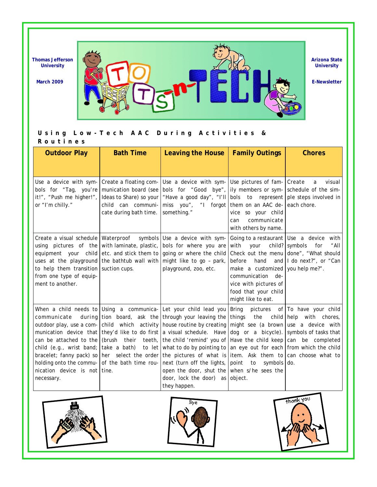

**Arizona State University** 

### **Using Low-Tech AAC During Activities &**

**Routines** 

| <b>Outdoor Play</b>                                                                                                                                                                                                        | <b>Bath Time</b>                                                                                                           | <b>Leaving the House</b>                                                                                                                                                                                                                                                                                                                                                                                                                                                                                                                                                                                                                                                         | <b>Family Outings</b>                                                                                                                                                                                   | <b>Chores</b>                                                                                               |
|----------------------------------------------------------------------------------------------------------------------------------------------------------------------------------------------------------------------------|----------------------------------------------------------------------------------------------------------------------------|----------------------------------------------------------------------------------------------------------------------------------------------------------------------------------------------------------------------------------------------------------------------------------------------------------------------------------------------------------------------------------------------------------------------------------------------------------------------------------------------------------------------------------------------------------------------------------------------------------------------------------------------------------------------------------|---------------------------------------------------------------------------------------------------------------------------------------------------------------------------------------------------------|-------------------------------------------------------------------------------------------------------------|
|                                                                                                                                                                                                                            |                                                                                                                            |                                                                                                                                                                                                                                                                                                                                                                                                                                                                                                                                                                                                                                                                                  |                                                                                                                                                                                                         |                                                                                                             |
| Use a device with sym-<br>bols for "Tag, you're<br>it!", "Push me higher!",<br>or "I'm chilly."                                                                                                                            | Create a floating com-<br>munication board (see<br>Ideas to Share) so your<br>child can communi-<br>cate during bath time. | Use a device with sym-<br>bols for "Good bye",<br>"Have a good day", "I'll<br>forgot<br>miss you",<br>$^{\prime\prime}$<br>something."                                                                                                                                                                                                                                                                                                                                                                                                                                                                                                                                           | Use pictures of fam- Create<br>bols<br>them on an AAC de- each chore.<br>vice so your child<br>communicate<br>can<br>with others by name.                                                               | visual<br>a<br>ily members or sym- schedule of the sim-<br>to represent ple steps involved in               |
| Create a visual schedule Waterproof<br>using pictures of the<br>equipment your child<br>uses at the playground<br>to help them transition suction cups.<br>from one type of equip-<br>ment to another.                     | with laminate, plastic,<br>the bathtub wall with                                                                           | symbols Use a device with sym-<br>bols for where you are<br>etc. and stick them to going or where the child<br>might like to go - park,<br>playground, zoo, etc.                                                                                                                                                                                                                                                                                                                                                                                                                                                                                                                 | Going to a restaurant Use a device<br>with<br>your<br>hand<br>before<br>make a customized you help me?".<br>communication<br>de-<br>vice with pictures of<br>food that your child<br>might like to eat. | with<br>child? symbols<br>for<br>"All<br>Check out the menu done", "What should<br>and I do next?", or "Can |
| during<br>communicate<br>can be attached to the (brush<br>child (e.g., wrist band; take a bath)<br>bracelet; fanny pack) so<br>holding onto the commu- of the bath time rou-<br>nication device is not tine.<br>necessary. | their                                                                                                                      | When a child needs to Using a communica- Let your child lead you<br>tion board, ask the through your leaving the<br>outdoor play, use a com- child which activity house routine by creating might see (a brown use a device with<br>munication device that they'd like to do first a visual schedule. Have<br>teeth, the child 'remind' you of Have the child keep can be completed<br>to let what to do by pointing to an eye out for each from which the child<br>her select the order the pictures of what is item. Ask them to can choose what to<br>next (turn off the lights,  <br>open the door, shut the when s/he sees the<br>door, lock the door) $as$<br>they happen. | Bring<br>pictures<br>child help<br>things<br>the<br>point<br>symbols do.<br>to<br>object.                                                                                                               | of To have your child<br>with<br>chores,<br>dog or a bicycle). symbols of tasks that                        |





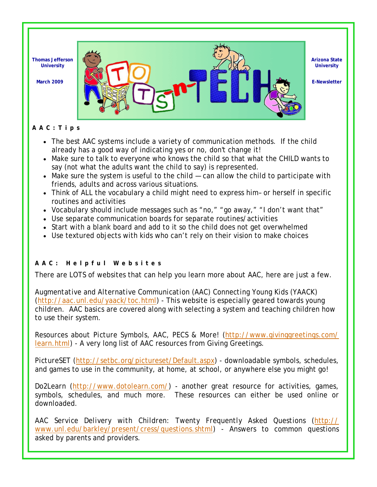

**Arizona State University** 

### **AAC:Tips**

- The best AAC systems include a variety of communication methods. If the child already has a good way of indicating yes or no, don't change it!
- Make sure to talk to everyone who knows the child so that what the CHILD wants to say (not what the adults want the child to say) is represented.
- Make sure the system is useful to the child can allow the child to participate with friends, adults and across various situations.
- Think of ALL the vocabulary a child might need to express him– or herself in specific routines and activities
- Vocabulary should include messages such as "no," "go away," "I don't want that"
- Use separate communication boards for separate routines/activities
- Start with a blank board and add to it so the child does not get overwhelmed
- Use textured objects with kids who can't rely on their vision to make choices

### **AAC: Helpful Websites**

There are LOTS of websites that can help you learn more about AAC, here are just a few.

*Augmentative and Alternative Communication (AAC) Connecting Young Kids (YAACK)*  (http://aac.unl.edu/yaack/toc.html) - This website is especially geared towards young children. AAC basics are covered along with selecting a system and teaching children how to use their system.

*Resources about Picture Symbols, AAC, PECS & More!* (http://www.givinggreetings.com/ learn.html) - A very long list of AAC resources from Giving Greetings.

*PictureSET* (http://setbc.org/pictureset/Default.aspx) - downloadable symbols, schedules, and games to use in the community, at home, at school, or anywhere else you might go!

*Do2Learn* (http://www.dotolearn.com/) - another great resource for activities, games, symbols, schedules, and much more. These resources can either be used online or downloaded.

*AAC Service Delivery with Children: Twenty Frequently Asked Questions* (http:// www.unl.edu/barkley/present/cress/questions.shtml) - Answers to common questions asked by parents and providers.